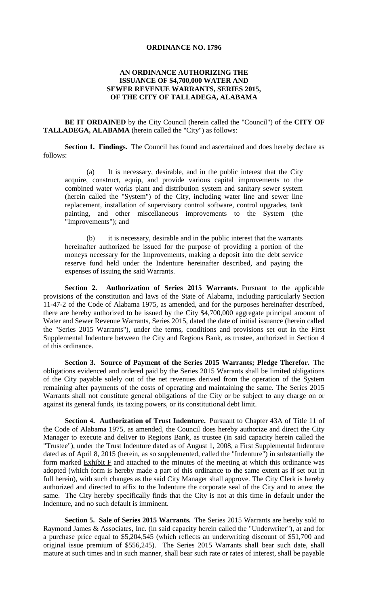## **ORDINANCE NO. 1796**

## **AN ORDINANCE AUTHORIZING THE ISSUANCE OF \$4,700,000 WATER AND SEWER REVENUE WARRANTS, SERIES 2015, OF THE CITY OF TALLADEGA, ALABAMA**

**BE IT ORDAINED** by the City Council (herein called the "Council") of the **CITY OF TALLADEGA, ALABAMA** (herein called the "City") as follows:

**Section 1. Findings.** The Council has found and ascertained and does hereby declare as follows:

(a) It is necessary, desirable, and in the public interest that the City acquire, construct, equip, and provide various capital improvements to the combined water works plant and distribution system and sanitary sewer system (herein called the "System") of the City, including water line and sewer line replacement, installation of supervisory control software, control upgrades, tank painting, and other miscellaneous improvements to the System (the "Improvements"); and

(b) it is necessary, desirable and in the public interest that the warrants hereinafter authorized be issued for the purpose of providing a portion of the moneys necessary for the Improvements, making a deposit into the debt service reserve fund held under the Indenture hereinafter described, and paying the expenses of issuing the said Warrants.

**Section 2. Authorization of Series 2015 Warrants.** Pursuant to the applicable provisions of the constitution and laws of the State of Alabama, including particularly Section 11-47-2 of the Code of Alabama 1975, as amended, and for the purposes hereinafter described, there are hereby authorized to be issued by the City \$4,700,000 aggregate principal amount of Water and Sewer Revenue Warrants, Series 2015, dated the date of initial issuance (herein called the "Series 2015 Warrants"), under the terms, conditions and provisions set out in the First Supplemental Indenture between the City and Regions Bank, as trustee, authorized in Section 4 of this ordinance.

**Section 3. Source of Payment of the Series 2015 Warrants; Pledge Therefor.** The obligations evidenced and ordered paid by the Series 2015 Warrants shall be limited obligations of the City payable solely out of the net revenues derived from the operation of the System remaining after payments of the costs of operating and maintaining the same. The Series 2015 Warrants shall not constitute general obligations of the City or be subject to any charge on or against its general funds, its taxing powers, or its constitutional debt limit.

**Section 4. Authorization of Trust Indenture.** Pursuant to Chapter 43A of Title 11 of the Code of Alabama 1975, as amended, the Council does hereby authorize and direct the City Manager to execute and deliver to Regions Bank, as trustee (in said capacity herein called the "Trustee"), under the Trust Indenture dated as of August 1, 2008, a First Supplemental Indenture dated as of April 8, 2015 (herein, as so supplemented, called the "Indenture") in substantially the form marked Exhibit F and attached to the minutes of the meeting at which this ordinance was adopted (which form is hereby made a part of this ordinance to the same extent as if set out in full herein), with such changes as the said City Manager shall approve. The City Clerk is hereby authorized and directed to affix to the Indenture the corporate seal of the City and to attest the same. The City hereby specifically finds that the City is not at this time in default under the Indenture, and no such default is imminent.

**Section 5. Sale of Series 2015 Warrants.** The Series 2015 Warrants are hereby sold to Raymond James & Associates, Inc. (in said capacity herein called the "Underwriter"), at and for a purchase price equal to \$5,204,545 (which reflects an underwriting discount of \$51,700 and original issue premium of \$556,245). The Series 2015 Warrants shall bear such date, shall mature at such times and in such manner, shall bear such rate or rates of interest, shall be payable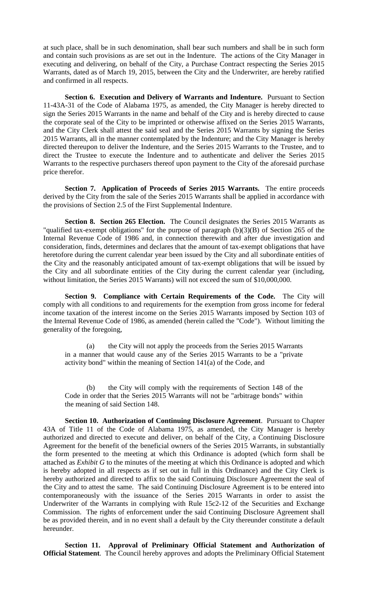at such place, shall be in such denomination, shall bear such numbers and shall be in such form and contain such provisions as are set out in the Indenture. The actions of the City Manager in executing and delivering, on behalf of the City, a Purchase Contract respecting the Series 2015 Warrants, dated as of March 19, 2015, between the City and the Underwriter, are hereby ratified and confirmed in all respects.

**Section 6. Execution and Delivery of Warrants and Indenture.** Pursuant to Section 11-43A-31 of the Code of Alabama 1975, as amended, the City Manager is hereby directed to sign the Series 2015 Warrants in the name and behalf of the City and is hereby directed to cause the corporate seal of the City to be imprinted or otherwise affixed on the Series 2015 Warrants, and the City Clerk shall attest the said seal and the Series 2015 Warrants by signing the Series 2015 Warrants, all in the manner contemplated by the Indenture; and the City Manager is hereby directed thereupon to deliver the Indenture, and the Series 2015 Warrants to the Trustee, and to direct the Trustee to execute the Indenture and to authenticate and deliver the Series 2015 Warrants to the respective purchasers thereof upon payment to the City of the aforesaid purchase price therefor.

**Section 7. Application of Proceeds of Series 2015 Warrants.** The entire proceeds derived by the City from the sale of the Series 2015 Warrants shall be applied in accordance with the provisions of Section 2.5 of the First Supplemental Indenture.

**Section 8. Section 265 Election.** The Council designates the Series 2015 Warrants as "qualified tax-exempt obligations" for the purpose of paragraph (b)(3)(B) of Section 265 of the Internal Revenue Code of 1986 and, in connection therewith and after due investigation and consideration, finds, determines and declares that the amount of tax-exempt obligations that have heretofore during the current calendar year been issued by the City and all subordinate entities of the City and the reasonably anticipated amount of tax-exempt obligations that will be issued by the City and all subordinate entities of the City during the current calendar year (including, without limitation, the Series 2015 Warrants) will not exceed the sum of \$10,000,000.

**Section 9. Compliance with Certain Requirements of the Code.** The City will comply with all conditions to and requirements for the exemption from gross income for federal income taxation of the interest income on the Series 2015 Warrants imposed by Section 103 of the Internal Revenue Code of 1986, as amended (herein called the "Code"). Without limiting the generality of the foregoing,

(a) the City will not apply the proceeds from the Series 2015 Warrants in a manner that would cause any of the Series 2015 Warrants to be a "private activity bond" within the meaning of Section 141(a) of the Code, and

(b) the City will comply with the requirements of Section 148 of the Code in order that the Series 2015 Warrants will not be "arbitrage bonds" within the meaning of said Section 148.

**Section 10. Authorization of Continuing Disclosure Agreement**. Pursuant to Chapter 43A of Title 11 of the Code of Alabama 1975, as amended, the City Manager is hereby authorized and directed to execute and deliver, on behalf of the City, a Continuing Disclosure Agreement for the benefit of the beneficial owners of the Series 2015 Warrants, in substantially the form presented to the meeting at which this Ordinance is adopted (which form shall be attached as *Exhibit G* to the minutes of the meeting at which this Ordinance is adopted and which is hereby adopted in all respects as if set out in full in this Ordinance) and the City Clerk is hereby authorized and directed to affix to the said Continuing Disclosure Agreement the seal of the City and to attest the same. The said Continuing Disclosure Agreement is to be entered into contemporaneously with the issuance of the Series 2015 Warrants in order to assist the Underwriter of the Warrants in complying with Rule 15c2-12 of the Securities and Exchange Commission. The rights of enforcement under the said Continuing Disclosure Agreement shall be as provided therein, and in no event shall a default by the City thereunder constitute a default hereunder.

**Section 11. Approval of Preliminary Official Statement and Authorization of Official Statement**. The Council hereby approves and adopts the Preliminary Official Statement